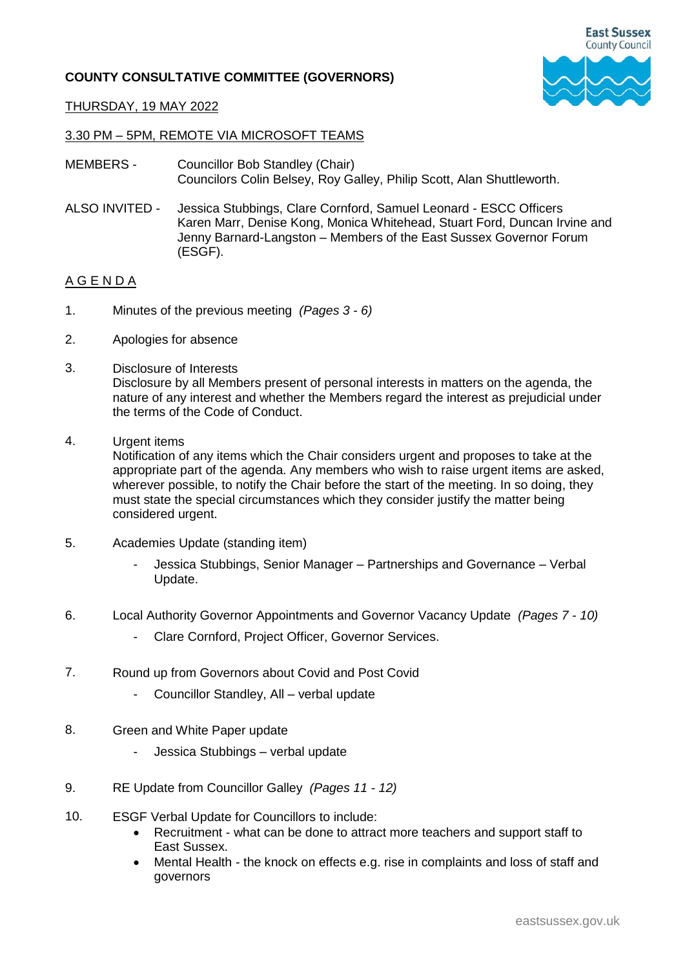## **COUNTY CONSULTATIVE COMMITTEE (GOVERNORS)**



## THURSDAY, 19 MAY 2022

## 3.30 PM – 5PM, REMOTE VIA MICROSOFT TEAMS

- MEMBERS Councillor Bob Standley (Chair) Councilors Colin Belsey, Roy Galley, Philip Scott, Alan Shuttleworth.
- ALSO INVITED Jessica Stubbings, Clare Cornford, Samuel Leonard - ESCC Officers Karen Marr, Denise Kong, Monica Whitehead, Stuart Ford, Duncan Irvine and Jenny Barnard-Langston – Members of the East Sussex Governor Forum (ESGF).

## A G E N D A

- 1. Minutes of the previous meeting *(Pages 3 - 6)*
- 2. Apologies for absence
- 3. Disclosure of Interests Disclosure by all Members present of personal interests in matters on the agenda, the nature of any interest and whether the Members regard the interest as prejudicial under the terms of the Code of Conduct.
- 4. Urgent items

Notification of any items which the Chair considers urgent and proposes to take at the appropriate part of the agenda. Any members who wish to raise urgent items are asked, wherever possible, to notify the Chair before the start of the meeting. In so doing, they must state the special circumstances which they consider justify the matter being considered urgent.

- 5. Academies Update (standing item)
	- Jessica Stubbings, Senior Manager Partnerships and Governance Verbal Update.
- 6. Local Authority Governor Appointments and Governor Vacancy Update *(Pages 7 - 10)*
	- Clare Cornford, Project Officer, Governor Services.
- 7. Round up from Governors about Covid and Post Covid
	- Councillor Standley, All verbal update
- 8. Green and White Paper update
	- Jessica Stubbings verbal update
- 9. RE Update from Councillor Galley *(Pages 11 - 12)*
- 10. ESGF Verbal Update for Councillors to include:
	- Recruitment what can be done to attract more teachers and support staff to East Sussex.
	- Mental Health the knock on effects e.g. rise in complaints and loss of staff and governors